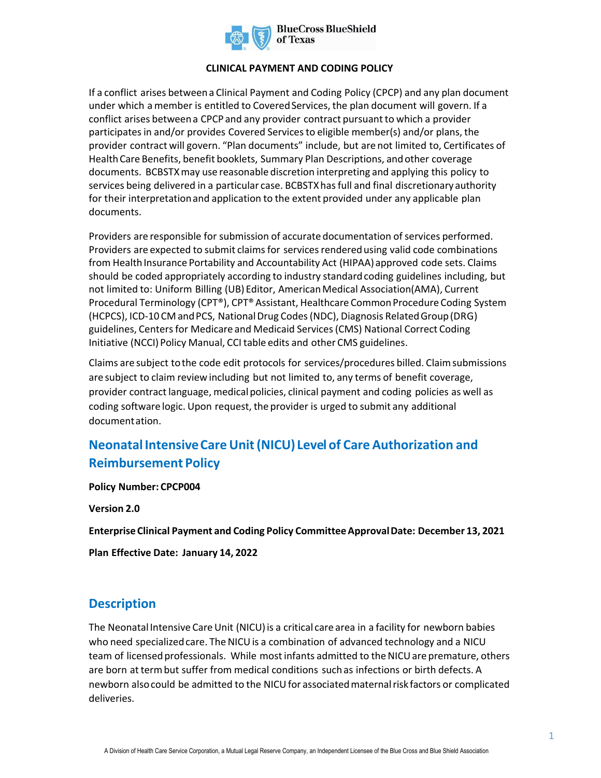

#### **CLINICAL PAYMENT AND CODING POLICY**

If a conflict arises between a Clinical Payment and Coding Policy (CPCP) and any plan document under which a member is entitled to Covered Services, the plan document will govern. If a conflict arises between a CPCP and any provider contract pursuant to which a provider participates in and/or provides Covered Services to eligible member(s) and/or plans, the provider contract will govern. "Plan documents" include, but are not limited to, Certificates of Health Care Benefits, benefit booklets, Summary Plan Descriptions, and other coverage documents. BCBSTXmay use reasonable discretion interpreting and applying this policy to services being delivered in a particular case. BCBSTXhas full and final discretionary authority for their interpretation and application to the extent provided under any applicable plan documents.

Providers are responsible for submission of accurate documentation of services performed. Providers are expected to submit claims for services rendered using valid code combinations from Health Insurance Portability and Accountability Act (HIPAA) approved code sets. Claims should be coded appropriately according to industry standard coding guidelines including, but not limited to: Uniform Billing (UB) Editor, American Medical Association(AMA), Current Procedural Terminology (CPT®), CPT® Assistant, Healthcare Common Procedure Coding System (HCPCS), ICD-10 CM and PCS, National Drug Codes (NDC), Diagnosis Related Group (DRG) guidelines, Centers for Medicare and Medicaid Services (CMS) National Correct Coding Initiative (NCCI) Policy Manual, CCI table edits and other CMS guidelines.

Claims are subject to the code edit protocols for services/procedures billed. Claim submissions are subject to claim review including but not limited to, any terms of benefit coverage, provider contract language, medical policies, clinical payment and coding policies as well as coding software logic. Upon request, the provider is urged to submit any additional documentation.

## **Neonatal Intensive Care Unit (NICU) Level of Care Authorization and Reimbursement Policy**

**Policy Number: CPCP004** 

**Version 2.0** 

**Enterprise Clinical Payment and Coding Policy Committee Approval Date: December 13, 2021** 

**Plan Effective Date: January 14, 2022**

#### **Description**

The Neonatal Intensive Care Unit (NICU) is a critical care area in a facility for newborn babies who need specialized care. The NICU is a combination of advanced technology and a NICU team of licensed professionals. While most infants admitted to the NICU are premature, others are born at term but suffer from medical conditions such as infections or birth defects. A newborn also could be admitted to the NICU for associated maternal risk factors or complicated deliveries.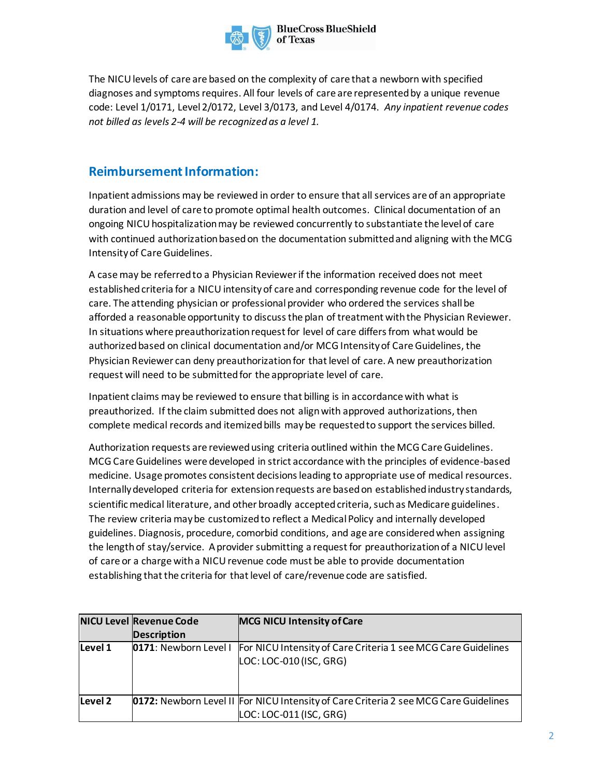

The NICU levels of care are based on the complexity of care that a newborn with specified diagnoses and symptoms requires. All four levels of care are represented by a unique revenue code: Level 1/0171, Level 2/0172, Level 3/0173, and Level 4/0174. *Any inpatient revenue codes not billed as levels 2-4 will be recognized as a level 1.*

## **Reimbursement Information:**

Inpatient admissions may be reviewed in order to ensure that all services are of an appropriate duration and level of care to promote optimal health outcomes. Clinical documentation of an ongoing NICU hospitalization may be reviewed concurrently to substantiate the level of care with continued authorization based on the documentation submitted and aligning with the MCG Intensity of CareGuidelines.

A case may be referred to a Physician Reviewer if the information received does not meet established criteria for a NICU intensityof care and corresponding revenue code for the level of care. The attending physician or professional provider who ordered the services shall be afforded a reasonable opportunity to discuss the plan of treatment with the Physician Reviewer. In situations where preauthorization request for level of care differs from what would be authorized based on clinical documentation and/or MCG Intensity of Care Guidelines, the Physician Reviewer can deny preauthorization for that level of care. A new preauthorization request will need to be submitted for the appropriate level of care.

Inpatient claims may be reviewed to ensure that billing is in accordance with what is preauthorized. If the claim submitted does not align with approved authorizations, then complete medical records and itemized bills maybe requested to support the services billed.

Authorization requests are reviewed using criteria outlined within the MCGCare Guidelines. MCG Care Guidelines were developed in strict accordance with the principles of evidence-based medicine. Usage promotes consistent decisions leading to appropriate use of medical resources. Internally developed criteria for extension requests are based on established industry standards, scientific medical literature, and other broadly accepted criteria, such as Medicare guidelines. The review criteria may be customized to reflect a Medical Policy and internally developed guidelines. Diagnosis, procedure, comorbid conditions, and age are considered when assigning the length of stay/service. A provider submitting a request for preauthorization of a NICU level of care or a charge with a NICU revenue code must be able to provide documentation establishing that the criteria for that level of care/revenue code are satisfied.

|         | <b>NICU Level Revenue Code</b> | <b>MCG NICU Intensity of Care</b>                                                           |
|---------|--------------------------------|---------------------------------------------------------------------------------------------|
|         | <b>Description</b>             |                                                                                             |
| Level 1 | 0171: Newborn Level I          | For NICU Intensity of Care Criteria 1 see MCG Care Guidelines                               |
|         |                                | LOC: LOC-010 (ISC, GRG)                                                                     |
|         |                                |                                                                                             |
|         |                                |                                                                                             |
|         |                                |                                                                                             |
| Level 2 |                                | <b>0172:</b> Newborn Level II For NICU Intensity of Care Criteria 2 see MCG Care Guidelines |
|         |                                | LOC: LOC-011 (ISC, GRG)                                                                     |